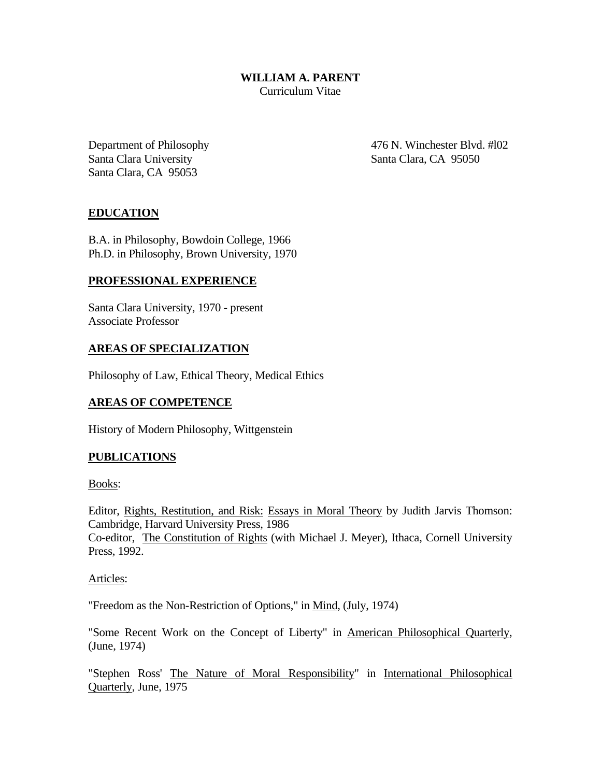### **WILLIAM A. PARENT** Curriculum Vitae

Santa Clara University Santa Clara, CA 95050 Santa Clara, CA 95053

Department of Philosophy 476 N. Winchester Blvd. #102

# **EDUCATION**

B.A. in Philosophy, Bowdoin College, 1966 Ph.D. in Philosophy, Brown University, 1970

#### **PROFESSIONAL EXPERIENCE**

Santa Clara University, 1970 - present Associate Professor

### **AREAS OF SPECIALIZATION**

Philosophy of Law, Ethical Theory, Medical Ethics

### **AREAS OF COMPETENCE**

History of Modern Philosophy, Wittgenstein

# **PUBLICATIONS**

Books:

Editor, Rights, Restitution, and Risk: Essays in Moral Theory by Judith Jarvis Thomson: Cambridge, Harvard University Press, 1986 Co-editor, The Constitution of Rights (with Michael J. Meyer), Ithaca, Cornell University

Press, 1992.

Articles:

"Freedom as the Non-Restriction of Options," in Mind, (July, 1974)

"Some Recent Work on the Concept of Liberty" in American Philosophical Quarterly, (June, 1974)

"Stephen Ross' The Nature of Moral Responsibility" in International Philosophical Quarterly, June, 1975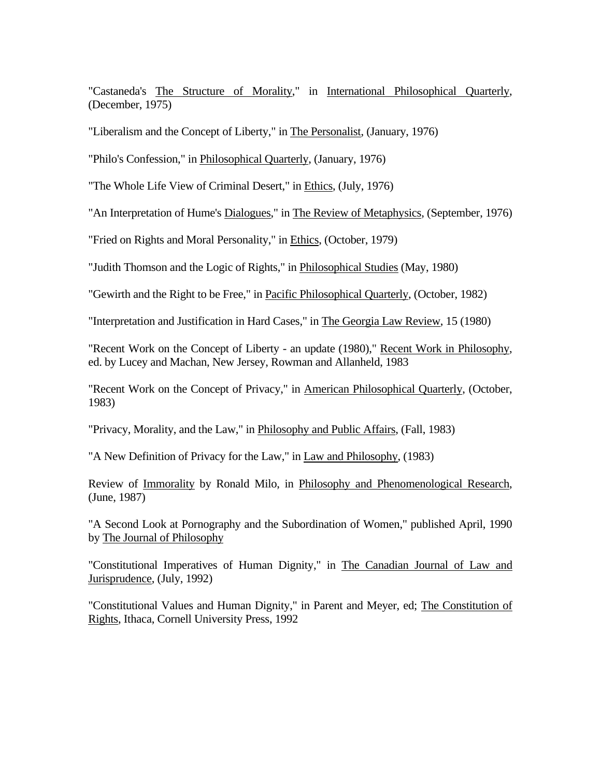"Castaneda's The Structure of Morality," in International Philosophical Quarterly, (December, 1975)

"Liberalism and the Concept of Liberty," in The Personalist, (January, 1976)

"Philo's Confession," in Philosophical Quarterly, (January, 1976)

"The Whole Life View of Criminal Desert," in Ethics, (July, 1976)

"An Interpretation of Hume's Dialogues," in The Review of Metaphysics, (September, 1976)

"Fried on Rights and Moral Personality," in Ethics, (October, 1979)

"Judith Thomson and the Logic of Rights," in Philosophical Studies (May, 1980)

"Gewirth and the Right to be Free," in Pacific Philosophical Quarterly, (October, 1982)

"Interpretation and Justification in Hard Cases," in The Georgia Law Review, 15 (1980)

"Recent Work on the Concept of Liberty - an update (1980)," Recent Work in Philosophy, ed. by Lucey and Machan, New Jersey, Rowman and Allanheld, 1983

"Recent Work on the Concept of Privacy," in American Philosophical Quarterly, (October, 1983)

"Privacy, Morality, and the Law," in Philosophy and Public Affairs, (Fall, 1983)

"A New Definition of Privacy for the Law," in Law and Philosophy, (1983)

Review of Immorality by Ronald Milo, in Philosophy and Phenomenological Research, (June, 1987)

"A Second Look at Pornography and the Subordination of Women," published April, 1990 by The Journal of Philosophy

"Constitutional Imperatives of Human Dignity," in The Canadian Journal of Law and Jurisprudence, (July, 1992)

"Constitutional Values and Human Dignity," in Parent and Meyer, ed; The Constitution of Rights, Ithaca, Cornell University Press, 1992